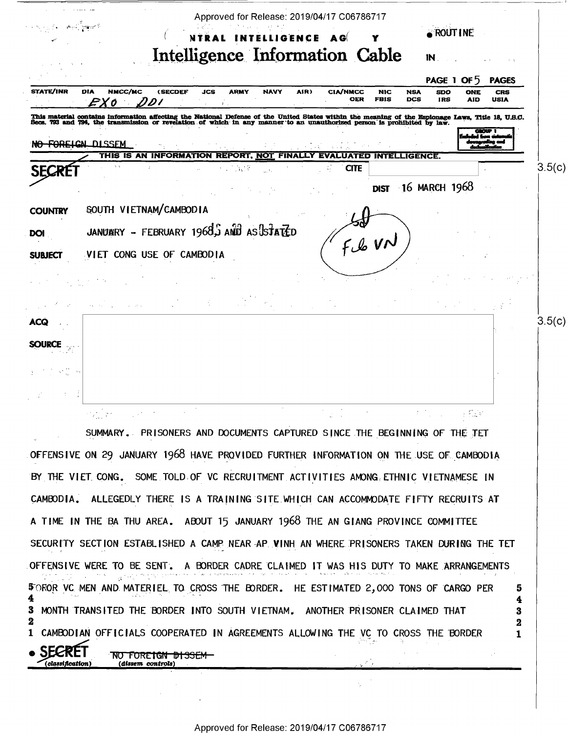|                | Approved for Release: 2019/04/17 C06786717                                                                                                                                                                                       |
|----------------|----------------------------------------------------------------------------------------------------------------------------------------------------------------------------------------------------------------------------------|
|                | <b>ROUT INE</b><br>NTRAL INTELLIGENCE AG                                                                                                                                                                                         |
|                | Intelligence Information Cable<br>$\mathbb{N}_{\cdot}$                                                                                                                                                                           |
|                | PAGE 1 OF 5<br><b>PAGES</b>                                                                                                                                                                                                      |
| STATE/INR      | DIA<br>JCS<br><b>NAVY</b><br>AIR)<br>NMCC/MC<br><b>(SECDEF</b><br>ARMY<br><b>CIA/NMCC</b><br><b>NIC</b><br><b>NSA</b><br>SDO<br>CRS<br>ONE<br><b>OER</b><br><b>FBIS</b><br>DCS<br>USIA<br><b>IRS</b><br><b>AID</b>               |
|                | This material contains information affecting the National Defense of the United States within the meaning of the Espionage Laws, Title 18, U.S.C.<br>Secs. 793 and 794, the transmission or revelation of which in any manner to |
|                | محمد                                                                                                                                                                                                                             |
|                | NO-FOREIGN DISSEM<br>THIS IS AN INFORMATION REPORT, NOT FINALLY EVALUATED INTELLIGENCE.                                                                                                                                          |
|                | 3.5(c)<br><b>CITE</b><br>$\sim 1000$                                                                                                                                                                                             |
|                | DIST 16 MARCH 1968                                                                                                                                                                                                               |
| <b>COUNTRY</b> | SOUTH VIETNAM/CAMBODIA                                                                                                                                                                                                           |
| <b>DOI</b>     | JANUMRY - FEBRUARY 1968, AND AS STATED                                                                                                                                                                                           |
|                | Fle VN                                                                                                                                                                                                                           |
| <b>SUBJECT</b> | VIET CONG USE OF CAMBODIA                                                                                                                                                                                                        |
|                |                                                                                                                                                                                                                                  |
|                |                                                                                                                                                                                                                                  |
| ACQ            | 3.5(c)                                                                                                                                                                                                                           |
|                |                                                                                                                                                                                                                                  |
|                |                                                                                                                                                                                                                                  |
|                |                                                                                                                                                                                                                                  |
|                |                                                                                                                                                                                                                                  |
|                |                                                                                                                                                                                                                                  |
|                | <b>1. The Control Fig. 6</b>                                                                                                                                                                                                     |

A TIME IN THE BA THU AREA. ABOUT 15 JANUARY 1968 THE AN GIANG PROVINCE COMMITTEE SECURITY SECTION ESTABLISHED A CAMP NEAR AP VINH AN WHERE PRISONERS TAKEN DURING THE TET OFFENSIVE WERE TO BE SENT. A BORDER CADRE CLAIMED IT WAS HIS DUTY TO MAKE ARRANGEMENTS  $\mathcal{A}^{(1)}$  ,  $\mathcal{A}^{(2)}$ \$ OROR VC MEN AND MATERIEL TO CROSS THE BORDER. HE ESTIMATED 2,000 TONS OF CARGO PER 5  $\ddagger$ 4 3 MONTH TRANSITED THE BORDER INTO SOUTH VIETNAM. ANOTHER PRISONER CLAIMED THAT 3  $\overline{\mathbf{2}}$  $\mathbf{2}$ CAMBODIAN OFFICIALS COOPERATED IN AGREEMENTS ALLOWING THE VC TO CROSS THE BORDER  $\mathbf{1}$  $\mathbf{1}$ NO FOREIGN DISSEM  $\mathcal{E}_{\mathcal{A}}^{\mathcal{A}}$ 

BY THE VIET CONG. SOME TOLD OF VC RECRUITMENT ACTIVITIES AMONG ETHNIC VIETNAMESE IN

CAMBODIA. ALLEGEDLY THERE IS A TRAINING SITE WHICH CAN ACCOMMODATE FIFTY RECRUITS AT

(classification)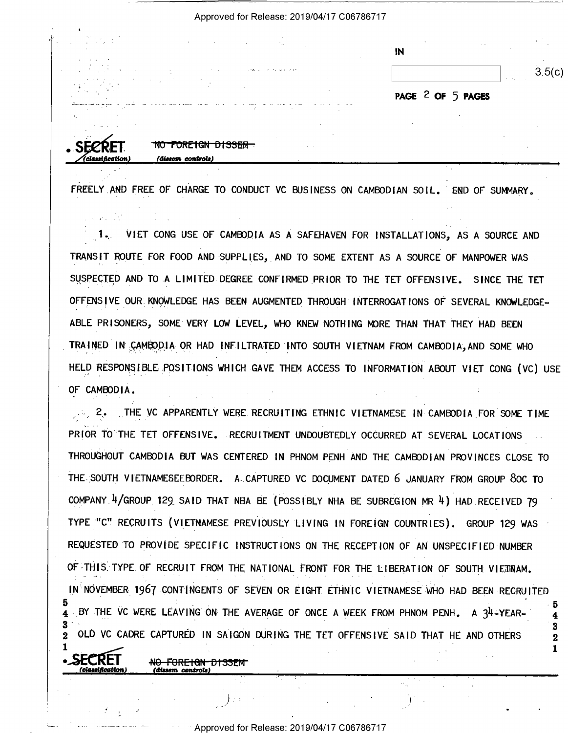|  | Approved for Release: 2019/04/17 C06786717 |  |  |
|--|--------------------------------------------|--|--|
|--|--------------------------------------------|--|--|

| . н. н.<br><br>٠. | $\sim$ 100 $\pm$      |                   |        |
|-------------------|-----------------------|-------------------|--------|
|                   | $\mathbf{N}$          |                   |        |
|                   |                       |                   |        |
| tich and only the |                       | <b>All Avenue</b> | 3.5(c) |
|                   |                       |                   |        |
|                   | DACE $2$ OF $5$ DACES |                   |        |

1

NO FORFIGN DISSEM (dissem controls

FREELY AND FREE OF CHARGE TO CONDUCT VC BUSINESS ON CAMBODIAN SOIL. END OF SUMMARY.

 $1.1$ VIET CONG USE OF CAMBODIA AS A SAFEHAVEN FOR INSTALLATIONS, AS A SOURCE AND TRANSIT ROUTE FOR FOOD AND SUPPLIES, AND TO SOME EXTENT AS A SOURCE OF MANPOWER WAS. SUSPECTED AND TO A LIMITED DEGREE CONFIRMED PRIOR TO THE TET OFFENSIVE. SINCE THE TET OFFENSIVE OUR KNOWLEDGE HAS BEEN AUGMENTED THROUGH INTERROGATIONS OF SEVERAL KNOWLEDGE-ABLE PRISONERS, SOME VERY LOW LEVEL, WHO KNEW NOTHING MORE THAN THAT THEY HAD BEEN TRAINED IN CAMBODIA OR HAD INFILTRATED INTO SOUTH VIETNAM FROM CAMBODIA, AND SOME WHO HELD RESPONSIBLE POSITIONS WHICH GAVE THEM ACCESS TO INFORMATION ABOUT VIET CONG (VC) USE OF CAMBODIA.

THE VC APPARENTLY WERE RECRUITING ETHNIC VIETNAMESE IN CAMBODIA FOR SOME TIME  $2.$ PRIOR TO THE TET OFFENSIVE. RECRUITMENT UNDOUBTEDLY OCCURRED AT SEVERAL LOCATIONS THROUGHOUT CAMBODIA BUT WAS CENTERED IN PHNOM PENH AND THE CAMBODIAN PROVINCES CLOSE TO THE SOUTH VIETNAMESEEBORDER. A CAPTURED VC DOCUMENT DATED 6 JANUARY FROM GROUP 80C TO COMPANY 4/GROUP 129 SAID THAT NHA BE (POSSIBLY NHA BE SUBREGION MR 4) HAD RECEIVED 79 TYPE "C" RECRUITS (VIETNAMESE PREVIOUSLY LIVING IN FOREIGN COUNTRIES). GROUP 129 WAS REQUESTED TO PROVIDE SPECIFIC INSTRUCTIONS ON THE RECEPTION OF AN UNSPECIFIED NUMBER OF THIS TYPE OF RECRUIT FROM THE NATIONAL FRONT FOR THE LIBERATION OF SOUTH VIETNAM. IN NOVEMBER 1967 CONTINGENTS OF SEVEN OR EIGHT ETHNIC VIETNAMESE WHO HAD BEEN RECRUITED BY THE VC WERE LEAVING ON THE AVERAGE OF ONCE A WEEK FROM PHNOM PENH, A 34-YEAR- $\overline{\mathbf{4}}$ OLD VC CADRE CAPTURED IN SAIGON DURING THE TET OFFENSIVE SAID THAT HE AND OTHERS  $\boldsymbol{2}$  $\mathbf{2}$ 1

> <del>NO FOREIGN DISSEN</del> (dissem controls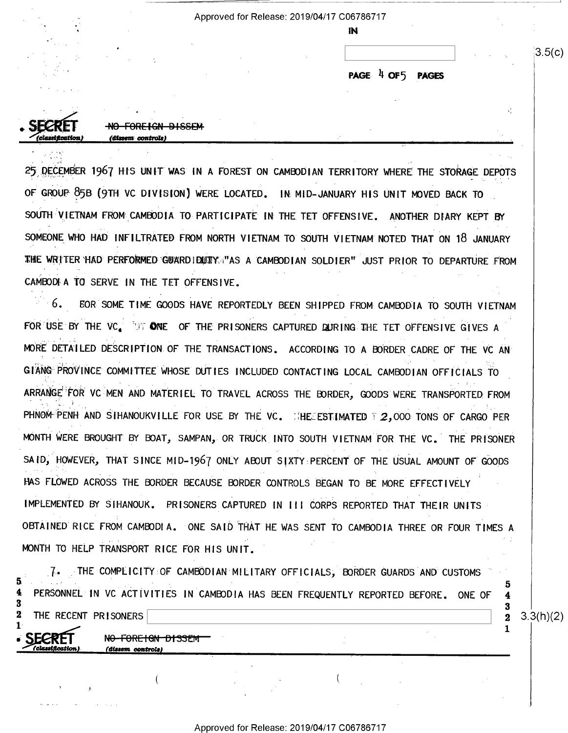Approved for Release: 2019/04/17 C06786717

IN

PAGE 4 OF5 **PAGES** 

<del>FOREIGN DISSEM</del> *(dissem controls)* 

N<del>O FORE IGN DISSEM</del>

(diesem controle)

25 DECEMBER 1967 HIS UNIT WAS IN A FOREST ON CAMBODIAN TERRITORY WHERE THE STORAGE DEPOTS OF GROUP 85B (9TH VC DIVISION) WERE LOCATED. IN MID-JANUARY HIS UNIT MOVED BACK TO SOUTH VIETNAM FROM CAMBODIA TO PARTICIPATE IN THE TET OFFENSIVE. ANOTHER DIARY KEPT BY SOMEONE WHO HAD INFILTRATED FROM NORTH VIETNAM TO SOUTH VIETNAM NOTED THAT ON 18 JANUARY THE WRITER HAD PERFORMED GUARDIDUTY "AS A CAMBODIAN SOLDIER" JUST PRIOR TO DEPARTURE FROM CAMBODI A TO SERVE IN THE TET OFFENSIVE.

 $-6.$ FOR SOME TIME GOODS HAVE REPORTEDLY BEEN SHIPPED FROM CAMBODIA TO SOUTH VIETNAM FOR USE BY THE VC. TUT ONE OF THE PRISONERS CAPTURED DURING THE TET OFFENSIVE GIVES A MORE DETAILED DESCRIPTION OF THE TRANSACTIONS. ACCORDING TO A BORDER CADRE OF THE VC AN GIANG PROVINCE COMMITTEE WHOSE DUTIES INCLUDED CONTACTING LOCAL CAMBODIAN OFFICIALS TO ARRANGE FOR VC MEN AND MATERIEL TO TRAVEL ACROSS THE BORDER, GOODS WERE TRANSPORTED FROM PHNOM PENH AND SIHANOUKVILLE FOR USE BY THE VC. HELESTIMATED T 2,000 TONS OF CARGO PER MONTH WERE BROUGHT BY BOAT, SAMPAN, OR TRUCK INTO SOUTH VIETNAM FOR THE VC. THE PRISONER SAID, HOWEVER, THAT SINCE MID-1967 ONLY ABOUT SIXTY PERCENT OF THE USUAL AMOUNT OF GOODS HAS FLOWED ACROSS THE BORDER BECAUSE BORDER CONTROLS BEGAN TO BE MORE EFFECTIVELY IMPLEMENTED BY SIHANOUK. PRISONERS CAPTURED IN III CORPS REPORTED THAT THEIR UNITS OBTAINED RICE FROM CAMBODIA. ONE SAID THAT HE WAS SENT TO CAMBODIA THREE OR FOUR TIMES A MONTH TO HELP TRANSPORT RICE FOR HIS UNIT.

THE COMPLICITY OF CAMBODIAN MILITARY OFFICIALS, BORDER GUARDS AND CUSTOMS  $7.$ PERSONNEL IN VC ACTIVITIES IN CAMBODIA HAS BEEN FREQUENTLY REPORTED BEFORE. ONE OF -3  $\bf{2}$ THE RECENT PRISONERS

 $3.3(h)(2)$ 

5

 $\overline{\mathbf{4}}$ 

 $\bf{2}$ 

 $3.5(c)$ 

V.

Approved for Release: 2019/04/17 C06786717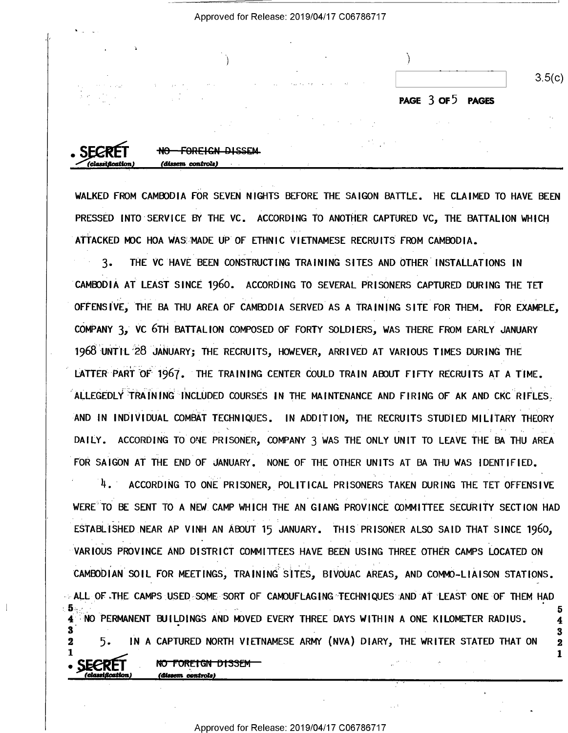| <b>Section</b>                                                                                                                            |                   |        |
|-------------------------------------------------------------------------------------------------------------------------------------------|-------------------|--------|
| $\sim 100$<br>the control and the state that the control of the                                                                           |                   | 3.5(c) |
| <b>SAFE SERVICE</b><br><b>Contact Contact</b><br>and the<br>and the state<br><b>Service</b><br><b>COMP</b><br>12.100<br>$\cdot$<br>$\sim$ | PAGE 3 OF 5 PAGES |        |

Approved for Release: 2019/04/17 C06786717

| . SECRÉT         | <b>FOREIGN DISSEM</b><br>$\mathbf{M}$<br>UTT |  |  |  |
|------------------|----------------------------------------------|--|--|--|
| (classification) | (dissem controls)                            |  |  |  |
|                  |                                              |  |  |  |

WALKED FROM CAMBODIA FOR SEVEN NIGHTS BEFORE THE SAIGON BATTLE. HE CLAIMED TO HAVE BEEN PRESSED INTO SERVICE BY THE VC. ACCORDING TO ANOTHER CAPTURED VC. THE BATTALION WHICH ATTACKED MOC HOA WAS MADE UP OF ETHNIC VIETNAMESE RECRUITS FROM CAMBODIA.

 $3.$ THE VC HAVE BEEN CONSTRUCTING TRAINING SITES AND OTHER INSTALLATIONS IN CAMBODIA AT LEAST SINCE 1960. ACCORDING TO SEVERAL PRISONERS CAPTURED DURING THE TET OFFENSIVE, THE BA THU AREA OF CAMBODIA SERVED AS A TRAINING SITE FOR THEM. FOR EXAMPLE, COMPANY 3, VC 6TH BATTALION COMPOSED OF FORTY SOLDIERS, WAS THERE FROM EARLY JANUARY 1968 UNTIL 28 JANUARY; THE RECRUITS, HOWEVER, ARRIVED AT VARIOUS TIMES DURING THE LATTER PART OF 1967. THE TRAINING CENTER COULD TRAIN ABOUT FIFTY RECRUITS AT A TIME. ALLEGEDLY TRAINING INCLUDED COURSES IN THE MAINTENANCE AND FIRING OF AK AND CKC RIFLES. AND IN INDIVIDUAL COMBAT TECHNIQUES. IN ADDITION, THE RECRUITS STUDIED MILITARY THEORY DAILY. ACCORDING TO ONE PRISONER, COMPANY 3 WAS THE ONLY UNIT TO LEAVE THE BA THU AREA FOR SAIGON AT THE END OF JANUARY. NONE OF THE OTHER UNITS AT BA THU WAS IDENTIFIED.

4. ACCORDING TO ONE PRISONER, POLITICAL PRISONERS TAKEN DURING THE TET OFFENSIVE WERE TO BE SENT TO A NEW CAMP WHICH THE AN GIANG PROVINCE COMMITTEE SECURITY SECTION HAD ESTABLISHED NEAR AP VINH AN ABOUT 15 JANUARY. THIS PRISONER ALSO SAID THAT SINCE 1960, VARIOUS PROVINCE AND DISTRICT COMMITTEES HAVE BEEN USING THREE OTHER CAMPS LOCATED ON CAMBODIAN SOIL FOR MEETINGS, TRAINING SITES, BIVOUAC AREAS, AND COMMO-LIAISON STATIONS. ALL OF THE CAMPS USED SOME SORT OF CAMOUFLAGING TECHNIQUES AND AT LEAST ONE OF THEM HAD 4 NO PERMANENT BUILDINGS AND MOVED EVERY THREE DAYS WITHIN A ONE KILOMETER RADIUS. 5. IN A CAPTURED NORTH VIETNAMESE ARMY (NVA) DIARY, THE WRITER STATED THAT ON  $\mathbf{2}$  $\mathbf{2}$ 1 1. NO FOREIGN DISSEM

dimem centrolel